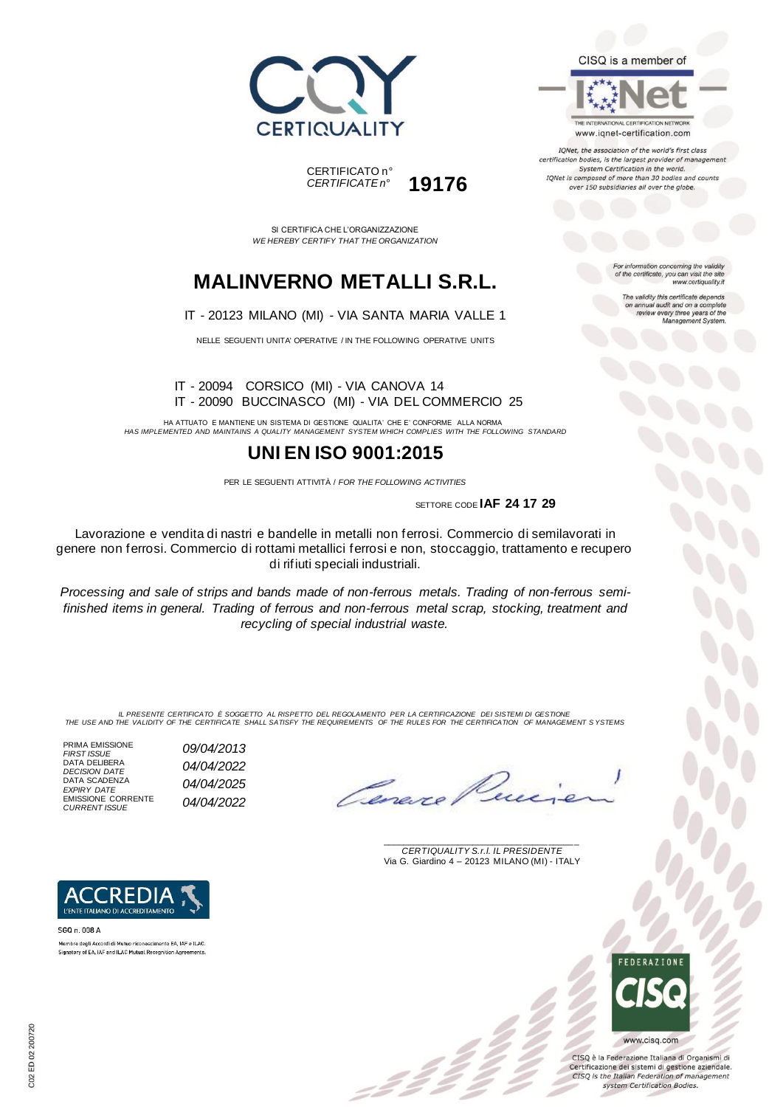



SI CERTIFICA CHE L'ORGANIZZAZIONE *WE HEREBY CERTIFY THAT THE ORGANIZATION*

# **MALINVERNO METALLI S.R.L.**

#### IT - 20123 MILANO (MI) - VIA SANTA MARIA VALLE 1

NELLE SEGUENTI UNITA' OPERATIVE / IN THE FOLLOWING OPERATIVE UNITS

IT - 20094 CORSICO (MI) - VIA CANOVA 14 IT - 20090 BUCCINASCO (MI) - VIA DEL COMMERCIO 25

HA ATTUATO E MANTIENE UN SISTEMA DI GESTIONE QUALITA' CHE E' CONFORME ALLA NORMA *HAS IMPLEMENTED AND MAINTAINS A QUALITY MANAGEMENT SYSTEM WHICH COMPLIES WITH THE FOLLOWING STANDARD*

### **UNI EN ISO 9001:2015**

PER LE SEGUENTI ATTIVITÀ / *FOR THE FOLLOWING ACTIVITIES*

SETTORE CODE **IAF 24 17 29**

Lavorazione e vendita di nastri e bandelle in metalli non ferrosi. Commercio di semilavorati in genere non ferrosi. Commercio di rottami metallici ferrosi e non, stoccaggio, trattamento e recupero di rifiuti speciali industriali.

*Processing and sale of strips and bands made of non-ferrous metals. Trading of non-ferrous semifinished items in general. Trading of ferrous and non-ferrous metal scrap, stocking, treatment and recycling of special industrial waste.*

IL PRESENTE CERTIFICATO E SOGGETTO AL RISPETTO DEL REGOLAMENTO PER LA CERTIFICAZIONE DEI SISTEMI DI GESTIONE<br>THE USE AND THE VALIDITY OF THE CERTIFICATE SHALL SATISFY THE REQUIREMENTS OF THE RULES FOR THE CERTIFICATION OF

PRIMA EMISSIONE<br>FIRST ISSUE DATA SCADENZA<br>EXPIRY DATE EMISSIONE CORRENTE *CURRENT ISSUE 04/04/2022*

*FIRST ISSUE 09/04/2013 EXPIRY DATE 04/04/2025*



\_\_\_\_\_\_\_\_\_\_\_\_\_\_\_\_\_\_\_\_\_\_\_\_\_\_\_\_\_\_\_\_\_\_\_\_\_\_\_ *CERTIQUALITY S.r.l. IL PRESIDENTE* Via G. Giardino 4 – 20123 MILANO (MI) - ITALY



CISQ è la Federazione Italiana di Organismi di Certificazione dei sistemi di gestione aziendale. CISQ is the Italian Federation of management system Certification Bodies.

DATA DELIBERA *DECISION DATE 04/04/2022*



SGQ n. 008 A Membro degli Accordi di Mutuo riconoscimento EA, IAF e ILAC Signatory of EA, IAF and ILAC Mutual Recognition Agreements CISQ is a member of



IQNet, the association of the world's first class certification bodies, is the largest provider of management System Certification in the world. IQNet is composed of more than 30 bodies and counts over 150 subsidiaries all over the globe.

> For information concerning the validity<br>of the certificate, you can visit the site www.certiquality.it

> > The validity this certificate depends on annual audit and on a complete<br>review every three years of the<br>Management System.